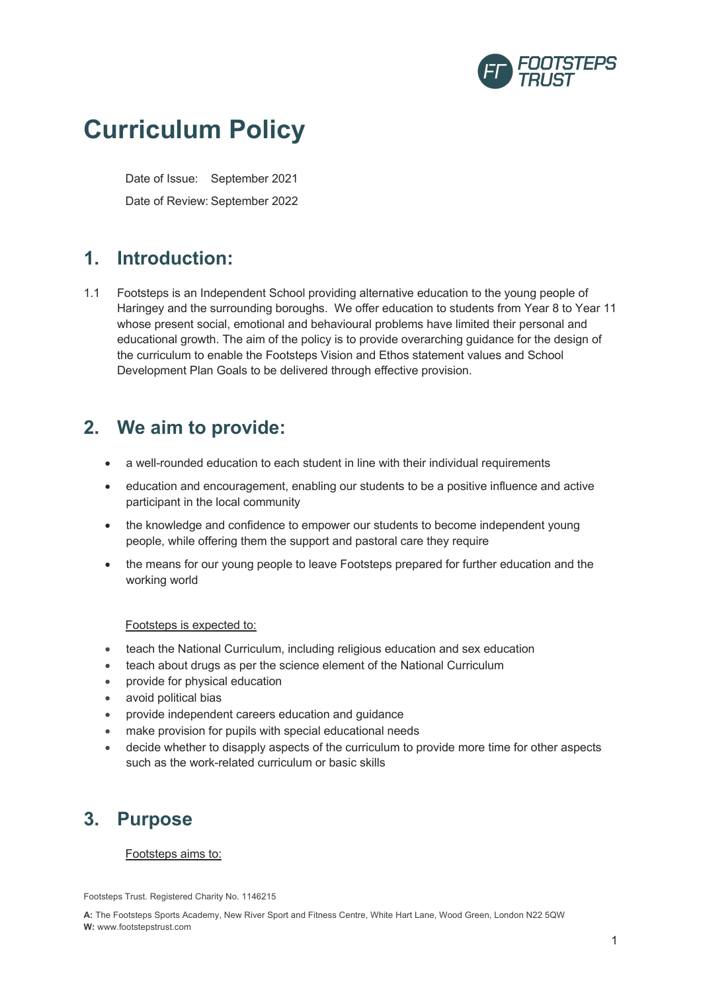

# **Curriculum Policy**

Date of Issue: September 2021 Date of Review: September 2022

# **1. Introduction:**

1.1 Footsteps is an Independent School providing alternative education to the young people of Haringey and the surrounding boroughs. We offer education to students from Year 8 to Year 11 whose present social, emotional and behavioural problems have limited their personal and educational growth. The aim of the policy is to provide overarching guidance for the design of the curriculum to enable the Footsteps Vision and Ethos statement values and School Development Plan Goals to be delivered through effective provision.

# **2. We aim to provide:**

- a well-rounded education to each student in line with their individual requirements
- education and encouragement, enabling our students to be a positive influence and active participant in the local community
- the knowledge and confidence to empower our students to become independent young people, while offering them the support and pastoral care they require
- the means for our young people to leave Footsteps prepared for further education and the working world

# Footsteps is expected to:

- teach the National Curriculum, including religious education and sex education
- teach about drugs as per the science element of the National Curriculum
- provide for physical education
- avoid political bias
- provide independent careers education and guidance
- make provision for pupils with special educational needs
- decide whether to disapply aspects of the curriculum to provide more time for other aspects such as the work-related curriculum or basic skills

# **3. Purpose**

# Footsteps aims to:

Footsteps Trust. Registered Charity No. 1146215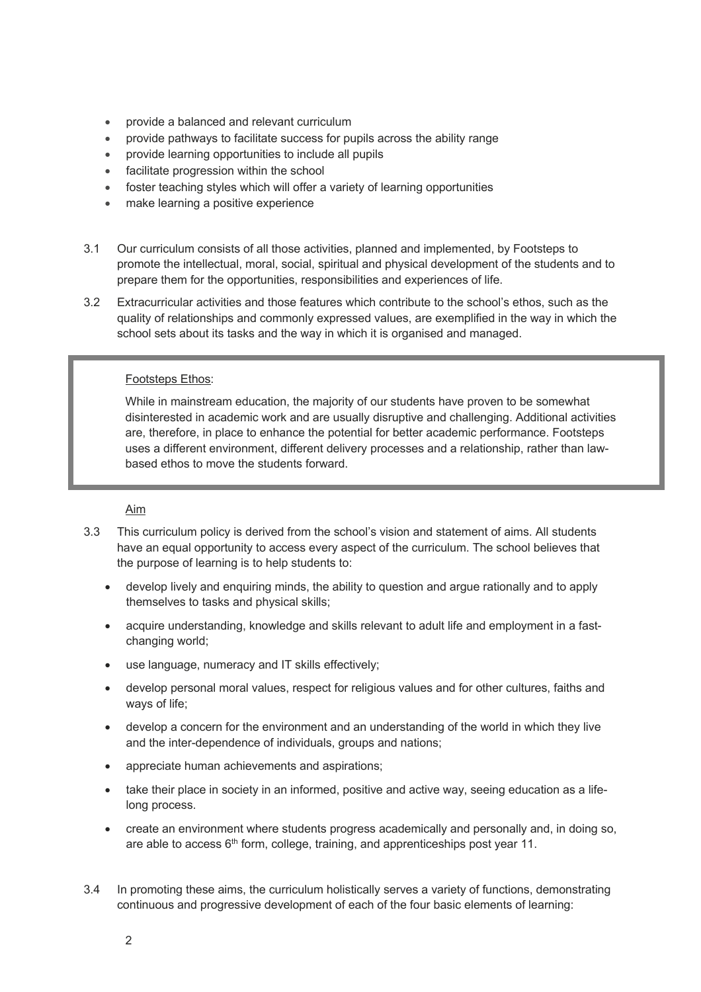- provide a balanced and relevant curriculum
- provide pathways to facilitate success for pupils across the ability range
- provide learning opportunities to include all pupils
- facilitate progression within the school
- foster teaching styles which will offer a variety of learning opportunities
- make learning a positive experience
- 3.1 Our curriculum consists of all those activities, planned and implemented, by Footsteps to promote the intellectual, moral, social, spiritual and physical development of the students and to prepare them for the opportunities, responsibilities and experiences of life.
- 3.2 Extracurricular activities and those features which contribute to the school's ethos, such as the quality of relationships and commonly expressed values, are exemplified in the way in which the school sets about its tasks and the way in which it is organised and managed.

### Footsteps Ethos:

While in mainstream education, the majority of our students have proven to be somewhat disinterested in academic work and are usually disruptive and challenging. Additional activities are, therefore, in place to enhance the potential for better academic performance. Footsteps uses a different environment, different delivery processes and a relationship, rather than lawbased ethos to move the students forward.

Aim

- 3.3 This curriculum policy is derived from the school's vision and statement of aims. All students have an equal opportunity to access every aspect of the curriculum. The school believes that the purpose of learning is to help students to:
	- develop lively and enquiring minds, the ability to question and argue rationally and to apply themselves to tasks and physical skills;
	- acquire understanding, knowledge and skills relevant to adult life and employment in a fastchanging world:
	- use language, numeracy and IT skills effectively;
	- develop personal moral values, respect for religious values and for other cultures, faiths and ways of life;
	- develop a concern for the environment and an understanding of the world in which they live and the inter-dependence of individuals, groups and nations;
	- appreciate human achievements and aspirations;
	- take their place in society in an informed, positive and active way, seeing education as a lifelong process.
	- create an environment where students progress academically and personally and, in doing so, are able to access 6<sup>th</sup> form, college, training, and apprenticeships post year 11.
- 3.4 In promoting these aims, the curriculum holistically serves a variety of functions, demonstrating continuous and progressive development of each of the four basic elements of learning: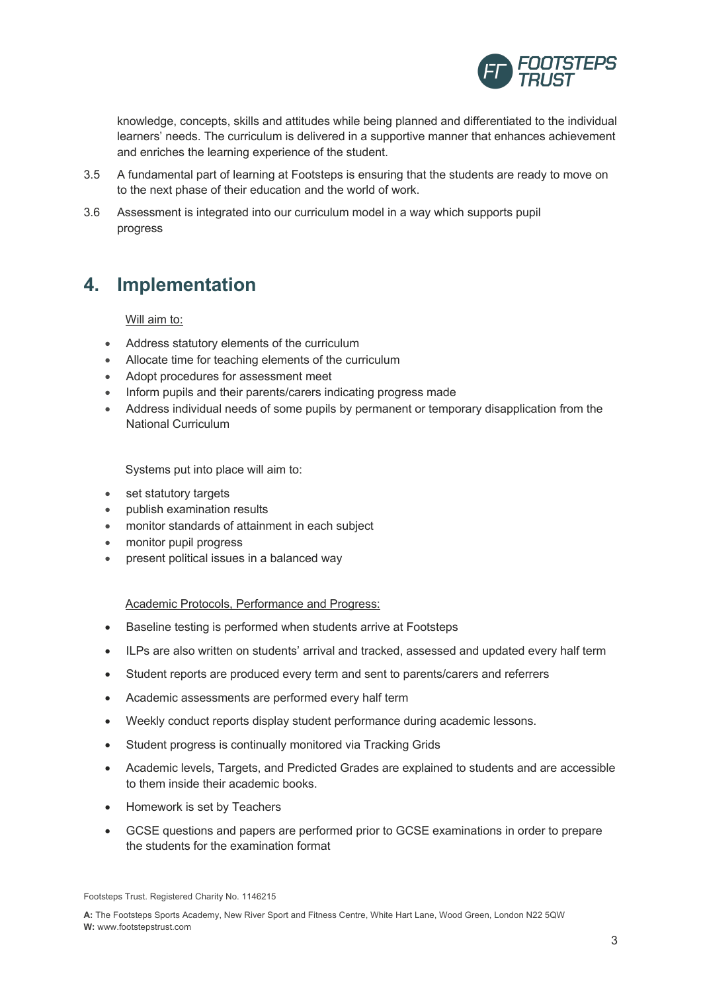

knowledge, concepts, skills and attitudes while being planned and differentiated to the individual learners' needs. The curriculum is delivered in a supportive manner that enhances achievement and enriches the learning experience of the student.

- 3.5 A fundamental part of learning at Footsteps is ensuring that the students are ready to move on to the next phase of their education and the world of work.
- 3.6 Assessment is integrated into our curriculum model in a way which supports pupil progress

# **4. Implementation**

Will aim to:

- Address statutory elements of the curriculum
- Allocate time for teaching elements of the curriculum
- Adopt procedures for assessment meet
- Inform pupils and their parents/carers indicating progress made
- Address individual needs of some pupils by permanent or temporary disapplication from the National Curriculum

Systems put into place will aim to:

- set statutory targets
- publish examination results
- monitor standards of attainment in each subject
- monitor pupil progress
- present political issues in a balanced way

Academic Protocols, Performance and Progress:

- Baseline testing is performed when students arrive at Footsteps
- ILPs are also written on students' arrival and tracked, assessed and updated every half term
- Student reports are produced every term and sent to parents/carers and referrers
- Academic assessments are performed every half term
- Weekly conduct reports display student performance during academic lessons.
- Student progress is continually monitored via Tracking Grids
- Academic levels, Targets, and Predicted Grades are explained to students and are accessible to them inside their academic books.
- Homework is set by Teachers
- GCSE questions and papers are performed prior to GCSE examinations in order to prepare the students for the examination format

Footsteps Trust. Registered Charity No. 1146215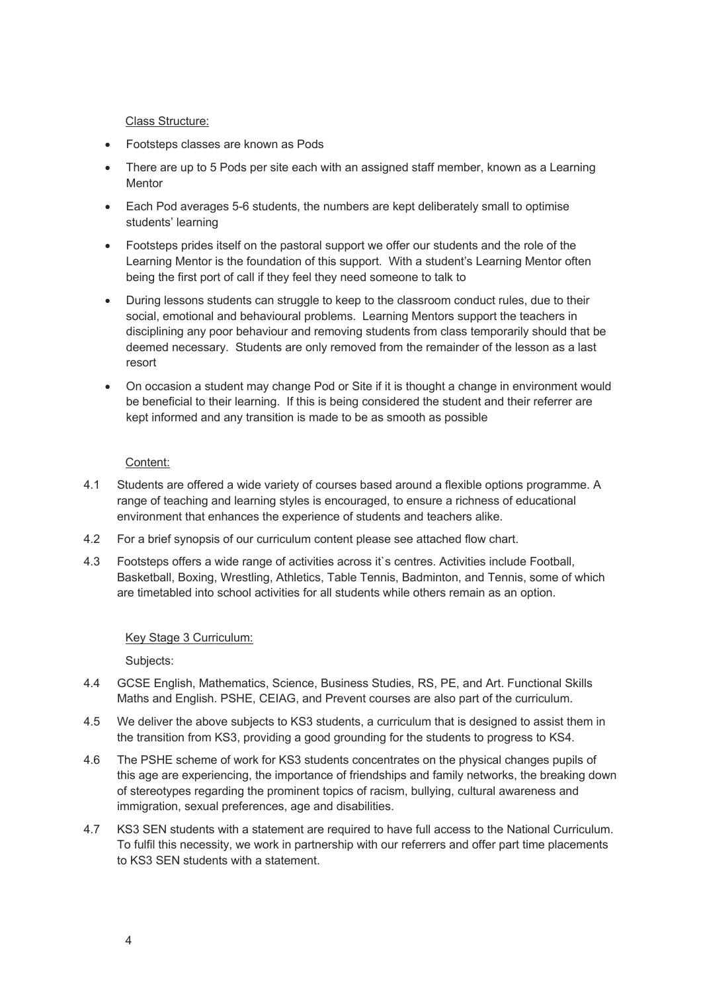#### Class Structure:

- Footsteps classes are known as Pods
- There are up to 5 Pods per site each with an assigned staff member, known as a Learning **Mentor**
- Each Pod averages 5-6 students, the numbers are kept deliberately small to optimise students' learning
- Footsteps prides itself on the pastoral support we offer our students and the role of the Learning Mentor is the foundation of this support. With a student's Learning Mentor often being the first port of call if they feel they need someone to talk to
- During lessons students can struggle to keep to the classroom conduct rules, due to their social, emotional and behavioural problems. Learning Mentors support the teachers in disciplining any poor behaviour and removing students from class temporarily should that be deemed necessary. Students are only removed from the remainder of the lesson as a last resort
- On occasion a student may change Pod or Site if it is thought a change in environment would be beneficial to their learning. If this is being considered the student and their referrer are kept informed and any transition is made to be as smooth as possible

#### Content:

- 4.1 Students are offered a wide variety of courses based around a flexible options programme. A range of teaching and learning styles is encouraged, to ensure a richness of educational environment that enhances the experience of students and teachers alike.
- 4.2 For a brief synopsis of our curriculum content please see attached flow chart.
- 4.3 Footsteps offers a wide range of activities across it`s centres. Activities include Football, Basketball, Boxing, Wrestling, Athletics, Table Tennis, Badminton, and Tennis, some of which are timetabled into school activities for all students while others remain as an option.

# Key Stage 3 Curriculum:

Subjects:

- 4.4 GCSE English, Mathematics, Science, Business Studies, RS, PE, and Art. Functional Skills Maths and English. PSHE, CEIAG, and Prevent courses are also part of the curriculum.
- 4.5 We deliver the above subjects to KS3 students, a curriculum that is designed to assist them in the transition from KS3, providing a good grounding for the students to progress to KS4.
- 4.6 The PSHE scheme of work for KS3 students concentrates on the physical changes pupils of this age are experiencing, the importance of friendships and family networks, the breaking down of stereotypes regarding the prominent topics of racism, bullying, cultural awareness and immigration, sexual preferences, age and disabilities.
- 4.7 KS3 SEN students with a statement are required to have full access to the National Curriculum. To fulfil this necessity, we work in partnership with our referrers and offer part time placements to KS3 SEN students with a statement.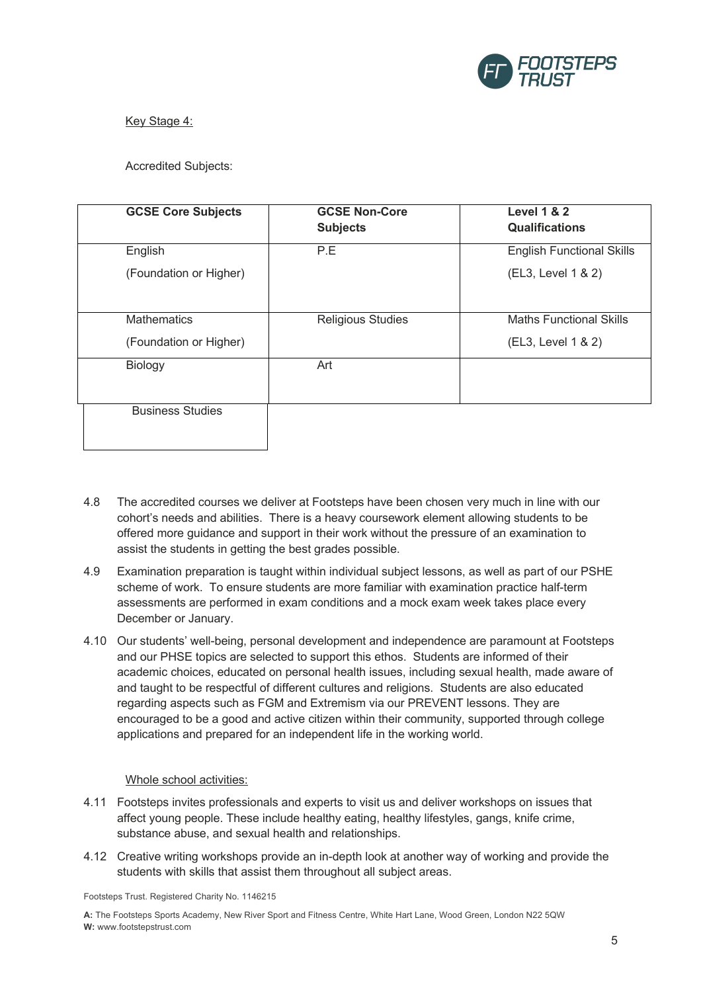

# Key Stage 4:

# Accredited Subjects:

| <b>GCSE Core Subjects</b> | <b>GCSE Non-Core</b><br><b>Subjects</b> | <b>Level 1 &amp; 2</b><br><b>Qualifications</b> |
|---------------------------|-----------------------------------------|-------------------------------------------------|
| English                   | P.E                                     | <b>English Functional Skills</b>                |
| (Foundation or Higher)    |                                         | (EL3, Level 1 & 2)                              |
| <b>Mathematics</b>        | <b>Religious Studies</b>                | <b>Maths Functional Skills</b>                  |
| (Foundation or Higher)    |                                         | (EL3, Level 1 & 2)                              |
| Biology                   | Art                                     |                                                 |
| <b>Business Studies</b>   |                                         |                                                 |

- 4.8 The accredited courses we deliver at Footsteps have been chosen very much in line with our cohort's needs and abilities. There is a heavy coursework element allowing students to be offered more guidance and support in their work without the pressure of an examination to assist the students in getting the best grades possible.
- 4.9 Examination preparation is taught within individual subject lessons, as well as part of our PSHE scheme of work. To ensure students are more familiar with examination practice half-term assessments are performed in exam conditions and a mock exam week takes place every December or January.
- 4.10 Our students' well-being, personal development and independence are paramount at Footsteps and our PHSE topics are selected to support this ethos. Students are informed of their academic choices, educated on personal health issues, including sexual health, made aware of and taught to be respectful of different cultures and religions. Students are also educated regarding aspects such as FGM and Extremism via our PREVENT lessons. They are encouraged to be a good and active citizen within their community, supported through college applications and prepared for an independent life in the working world.

### Whole school activities:

- 4.11 Footsteps invites professionals and experts to visit us and deliver workshops on issues that affect young people. These include healthy eating, healthy lifestyles, gangs, knife crime, substance abuse, and sexual health and relationships.
- 4.12 Creative writing workshops provide an in-depth look at another way of working and provide the students with skills that assist them throughout all subject areas.

Footsteps Trust. Registered Charity No. 1146215

**A:** The Footsteps Sports Academy, New River Sport and Fitness Centre, White Hart Lane, Wood Green, London N22 5QW **W:** www.footstepstrust.com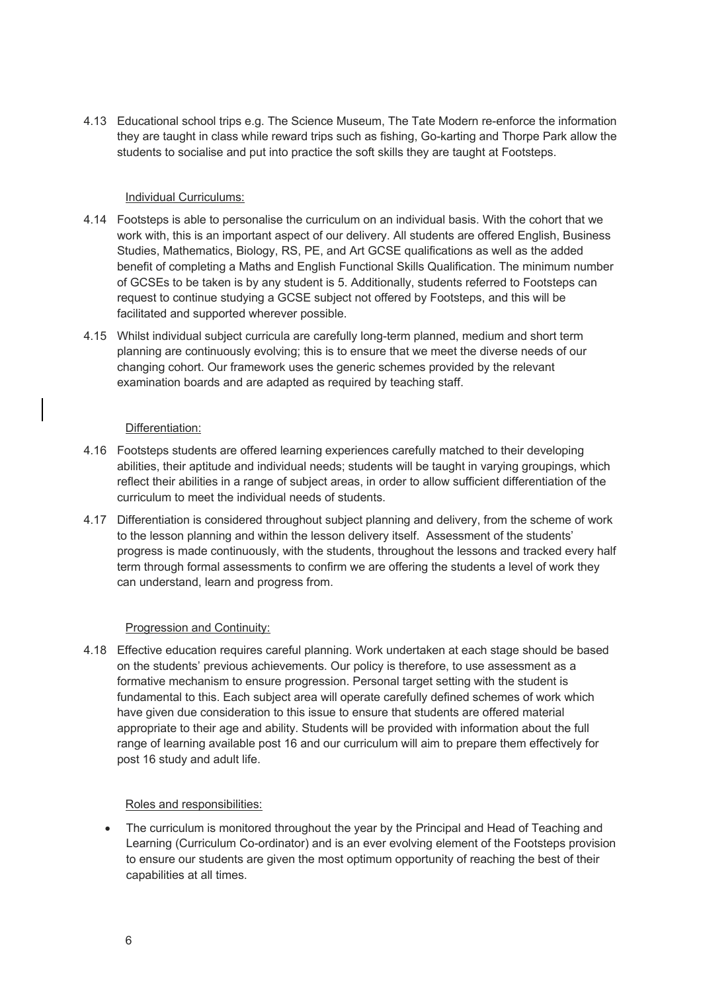4.13 Educational school trips e.g. The Science Museum, The Tate Modern re-enforce the information they are taught in class while reward trips such as fishing, Go-karting and Thorpe Park allow the students to socialise and put into practice the soft skills they are taught at Footsteps.

#### Individual Curriculums:

- 4.14 Footsteps is able to personalise the curriculum on an individual basis. With the cohort that we work with, this is an important aspect of our delivery. All students are offered English, Business Studies, Mathematics, Biology, RS, PE, and Art GCSE qualifications as well as the added benefit of completing a Maths and English Functional Skills Qualification. The minimum number of GCSEs to be taken is by any student is 5. Additionally, students referred to Footsteps can request to continue studying a GCSE subject not offered by Footsteps, and this will be facilitated and supported wherever possible.
- 4.15 Whilst individual subject curricula are carefully long-term planned, medium and short term planning are continuously evolving; this is to ensure that we meet the diverse needs of our changing cohort. Our framework uses the generic schemes provided by the relevant examination boards and are adapted as required by teaching staff.

#### Differentiation:

- 4.16 Footsteps students are offered learning experiences carefully matched to their developing abilities, their aptitude and individual needs; students will be taught in varying groupings, which reflect their abilities in a range of subject areas, in order to allow sufficient differentiation of the curriculum to meet the individual needs of students.
- 4.17 Differentiation is considered throughout subject planning and delivery, from the scheme of work to the lesson planning and within the lesson delivery itself. Assessment of the students' progress is made continuously, with the students, throughout the lessons and tracked every half term through formal assessments to confirm we are offering the students a level of work they can understand, learn and progress from.

### Progression and Continuity:

4.18 Effective education requires careful planning. Work undertaken at each stage should be based on the students' previous achievements. Our policy is therefore, to use assessment as a formative mechanism to ensure progression. Personal target setting with the student is fundamental to this. Each subject area will operate carefully defined schemes of work which have given due consideration to this issue to ensure that students are offered material appropriate to their age and ability. Students will be provided with information about the full range of learning available post 16 and our curriculum will aim to prepare them effectively for post 16 study and adult life.

### Roles and responsibilities:

• The curriculum is monitored throughout the year by the Principal and Head of Teaching and Learning (Curriculum Co-ordinator) and is an ever evolving element of the Footsteps provision to ensure our students are given the most optimum opportunity of reaching the best of their capabilities at all times.